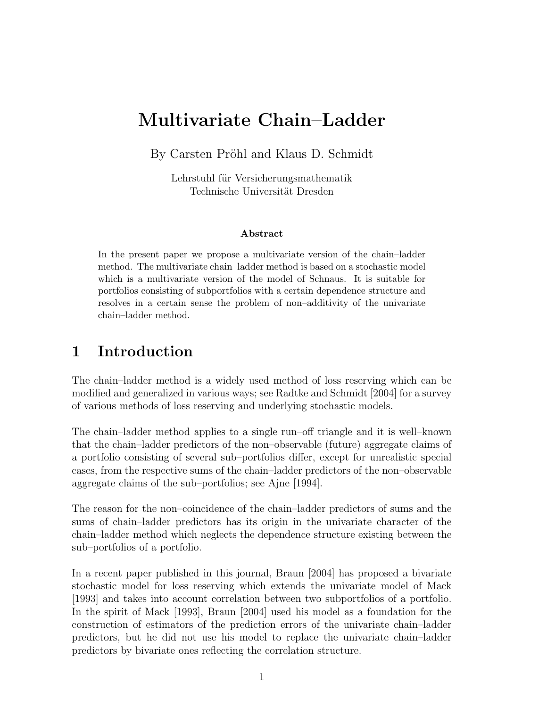# Multivariate Chain–Ladder

By Carsten Pröhl and Klaus D. Schmidt

Lehrstuhl für Versicherungsmathematik Technische Universität Dresden

#### Abstract

In the present paper we propose a multivariate version of the chain–ladder method. The multivariate chain–ladder method is based on a stochastic model which is a multivariate version of the model of Schnaus. It is suitable for portfolios consisting of subportfolios with a certain dependence structure and resolves in a certain sense the problem of non–additivity of the univariate chain–ladder method.

## 1 Introduction

The chain–ladder method is a widely used method of loss reserving which can be modified and generalized in various ways; see Radtke and Schmidt [2004] for a survey of various methods of loss reserving and underlying stochastic models.

The chain–ladder method applies to a single run–off triangle and it is well–known that the chain–ladder predictors of the non–observable (future) aggregate claims of a portfolio consisting of several sub–portfolios differ, except for unrealistic special cases, from the respective sums of the chain–ladder predictors of the non–observable aggregate claims of the sub–portfolios; see Ajne [1994].

The reason for the non–coincidence of the chain–ladder predictors of sums and the sums of chain–ladder predictors has its origin in the univariate character of the chain–ladder method which neglects the dependence structure existing between the sub–portfolios of a portfolio.

In a recent paper published in this journal, Braun [2004] has proposed a bivariate stochastic model for loss reserving which extends the univariate model of Mack [1993] and takes into account correlation between two subportfolios of a portfolio. In the spirit of Mack [1993], Braun [2004] used his model as a foundation for the construction of estimators of the prediction errors of the univariate chain–ladder predictors, but he did not use his model to replace the univariate chain–ladder predictors by bivariate ones reflecting the correlation structure.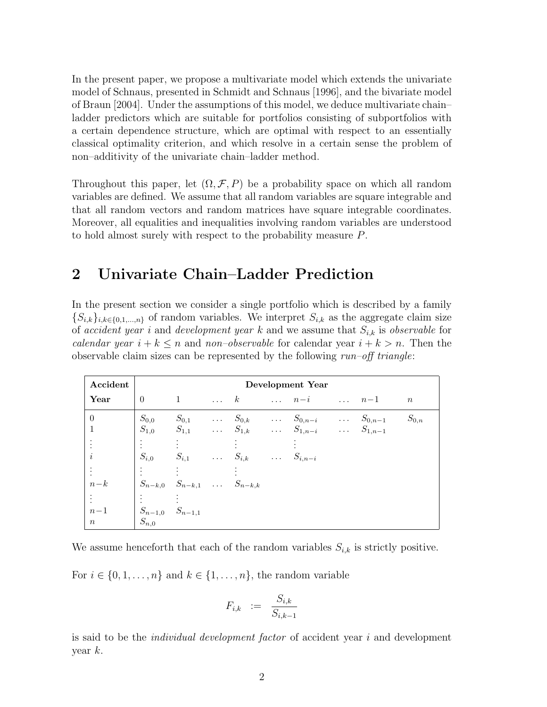In the present paper, we propose a multivariate model which extends the univariate model of Schnaus, presented in Schmidt and Schnaus [1996], and the bivariate model of Braun [2004]. Under the assumptions of this model, we deduce multivariate chain– ladder predictors which are suitable for portfolios consisting of subportfolios with a certain dependence structure, which are optimal with respect to an essentially classical optimality criterion, and which resolve in a certain sense the problem of non–additivity of the univariate chain–ladder method.

Throughout this paper, let  $(\Omega, \mathcal{F}, P)$  be a probability space on which all random variables are defined. We assume that all random variables are square integrable and that all random vectors and random matrices have square integrable coordinates. Moreover, all equalities and inequalities involving random variables are understood to hold almost surely with respect to the probability measure P.

## 2 Univariate Chain–Ladder Prediction

In the present section we consider a single portfolio which is described by a family  ${S_{i,k}}_{i,k\in\{0,1,\ldots,n\}}$  of random variables. We interpret  $S_{i,k}$  as the aggregate claim size of accident year i and development year k and we assume that  $S_{i,k}$  is observable for calendar year  $i + k \leq n$  and non–observable for calendar year  $i + k > n$ . Then the observable claim sizes can be represented by the following  $run-off triangle$ :

| Accident                                                                                                                      | Development Year                                                                     |                                     |  |                                                 |  |                                                                                                                               |  |  |           |
|-------------------------------------------------------------------------------------------------------------------------------|--------------------------------------------------------------------------------------|-------------------------------------|--|-------------------------------------------------|--|-------------------------------------------------------------------------------------------------------------------------------|--|--|-----------|
| Year                                                                                                                          | $\overline{0}$                                                                       | 1 $\ldots$ k                        |  |                                                 |  | $\ldots$ $n-i$ $\ldots$ $n-1$                                                                                                 |  |  | $\it{n}$  |
| $\theta$<br>$\frac{1}{2}$<br>$\dot{i}$<br>$n-k$<br>$\left(\begin{array}{cc} 1 & \cdots \end{array}\right)$<br>$\frac{n-1}{n}$ | $\begin{array}{ c c } \hline S_{n-1,0} & S_{n-1,1} \ S_{n,0} & & \hline \end{array}$ | $S_{n-k,0}$ $S_{n-k,1}$ $S_{n-k,k}$ |  | $S_{i,0}$ $S_{i,1}$ $\ldots$ $S_{i,k}$ $\ldots$ |  | $S_{0,0}$ $S_{0,1}$ $S_{0,k}$ $S_{0,n-i}$ $S_{0,n-1}$<br>$S_{1,0}$ $S_{1,1}$ $S_{1,k}$ $S_{1,n-i}$ $S_{1,n-1}$<br>$S_{i,n-i}$ |  |  | $S_{0,n}$ |

We assume henceforth that each of the random variables  $S_{i,k}$  is strictly positive.

For  $i \in \{0, 1, \ldots, n\}$  and  $k \in \{1, \ldots, n\}$ , the random variable

$$
F_{i,k} := \frac{S_{i,k}}{S_{i,k-1}}
$$

is said to be the *individual development factor* of accident year  $i$  and development year  $k$ .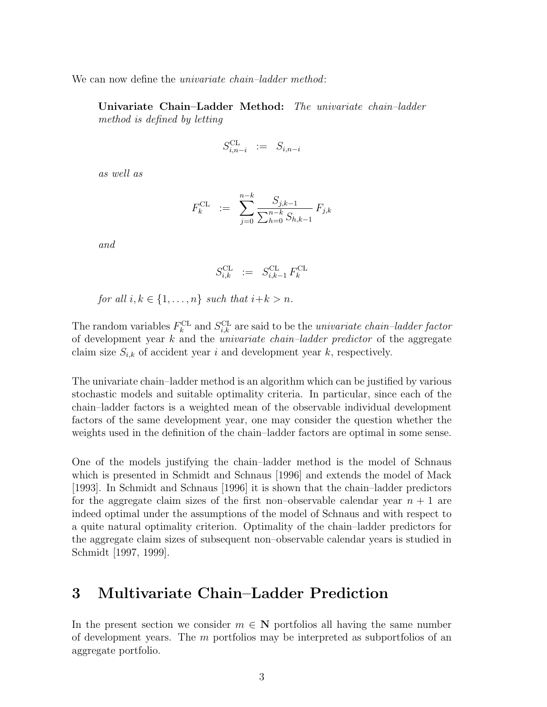We can now define the *univariate chain-ladder method*:

Univariate Chain–Ladder Method: The univariate chain-ladder method is defined by letting

$$
S^{\mathrm{CL}}_{i,n-i} := S_{i,n-i}
$$

as well as

$$
F_k^{\text{CL}} \ \ := \ \ \sum_{j=0}^{n-k} \frac{S_{j,k-1}}{\sum_{h=0}^{n-k} S_{h,k-1}} \, F_{j,k}
$$

and

$$
S^{\mathrm{CL}}_{i,k} \quad := \quad S^{\mathrm{CL}}_{i,k-1} \, F^{\mathrm{CL}}_k
$$

for all  $i, k \in \{1, \ldots, n\}$  such that  $i+k > n$ .

The random variables  $F_k^{\text{CL}}$  and  $S_{i,k}^{\text{CL}}$  are said to be the *univariate chain-ladder factor* of development year  $k$  and the *univariate chain–ladder predictor* of the aggregate claim size  $S_{i,k}$  of accident year i and development year k, respectively.

The univariate chain–ladder method is an algorithm which can be justified by various stochastic models and suitable optimality criteria. In particular, since each of the chain–ladder factors is a weighted mean of the observable individual development factors of the same development year, one may consider the question whether the weights used in the definition of the chain–ladder factors are optimal in some sense.

One of the models justifying the chain–ladder method is the model of Schnaus which is presented in Schmidt and Schnaus [1996] and extends the model of Mack [1993]. In Schmidt and Schnaus [1996] it is shown that the chain–ladder predictors for the aggregate claim sizes of the first non–observable calendar year  $n + 1$  are indeed optimal under the assumptions of the model of Schnaus and with respect to a quite natural optimality criterion. Optimality of the chain–ladder predictors for the aggregate claim sizes of subsequent non–observable calendar years is studied in Schmidt [1997, 1999].

### 3 Multivariate Chain–Ladder Prediction

In the present section we consider  $m \in \mathbb{N}$  portfolios all having the same number of development years. The  $m$  portfolios may be interpreted as subportfolios of an aggregate portfolio.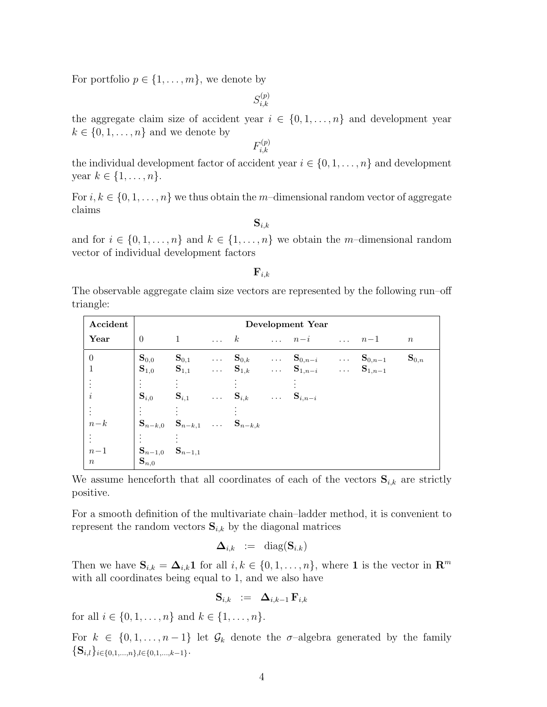For portfolio  $p \in \{1, \ldots, m\}$ , we denote by

 $S_{i,k}^{(p)}$  $_{i,k}$ 

the aggregate claim size of accident year  $i \in \{0, 1, \ldots, n\}$  and development year  $k \in \{0, 1, \ldots, n\}$  and we denote by

> $F^{(p)}_{i\;k}$ i,k

the individual development factor of accident year  $i \in \{0, 1, \ldots, n\}$  and development year  $k \in \{1, ..., n\}$ .

For  $i, k \in \{0, 1, \ldots, n\}$  we thus obtain the m-dimensional random vector of aggregate claims

 $S_{i,k}$ 

and for  $i \in \{0, 1, \ldots, n\}$  and  $k \in \{1, \ldots, n\}$  we obtain the *m*-dimensional random vector of individual development factors

 $\mathbf{F}_{i,k}$ 

The observable aggregate claim size vectors are represented by the following run–off triangle:

| Accident                  | Development Year                              |                                     |  |                       |  |                                                                                            |  |  |                    |  |
|---------------------------|-----------------------------------------------|-------------------------------------|--|-----------------------|--|--------------------------------------------------------------------------------------------|--|--|--------------------|--|
| Year                      | $\overline{0}$                                | $\overline{1}$                      |  |                       |  | $k$ $n-i$ $n-1$                                                                            |  |  | $\boldsymbol{n}$   |  |
| $\theta$                  | $\mathbf{S}_{0,0}$<br>$\mathbf{S}_{1,0}$      |                                     |  |                       |  | $S_{0,1}$ $S_{0,k}$ $S_{0,n-i}$ $S_{0,n-1}$<br>$S_{1,1}$ $S_{1,k}$ $S_{1,n-i}$ $S_{1,n-1}$ |  |  | $\mathbf{S}_{0,n}$ |  |
| $\it i$                   | $\mathbf{S}_{i,0}$                            | $S_{i,1}$                           |  | $S_{i,k}$ $S_{i,n-i}$ |  |                                                                                            |  |  |                    |  |
| $n-k$                     |                                               | $S_{n-k,0}$ $S_{n-k,1}$ $S_{n-k,k}$ |  |                       |  |                                                                                            |  |  |                    |  |
| $n-1$<br>$\boldsymbol{n}$ | $S_{n-1,0}$ $S_{n-1,1}$<br>$\mathbf{S}_{n,0}$ |                                     |  |                       |  |                                                                                            |  |  |                    |  |

We assume henceforth that all coordinates of each of the vectors  $S_{i,k}$  are strictly positive.

For a smooth definition of the multivariate chain–ladder method, it is convenient to represent the random vectors  $S_{i,k}$  by the diagonal matrices

$$
\Delta_{i,k} := \text{diag}(\mathbf{S}_{i,k})
$$

Then we have  $S_{i,k} = \Delta_{i,k}1$  for all  $i, k \in \{0, 1, \ldots, n\}$ , where 1 is the vector in  $\mathbb{R}^m$ with all coordinates being equal to 1, and we also have

$$
{\bf S}_{i,k} \hspace{2mm} := \hspace{2mm} \boldsymbol{\Delta}_{i,k-1} \, {\bf F}_{i,k}
$$

for all  $i \in \{0, 1, ..., n\}$  and  $k \in \{1, ..., n\}$ .

For  $k \in \{0, 1, \ldots, n-1\}$  let  $\mathcal{G}_k$  denote the  $\sigma$ -algebra generated by the family  $\{\mathbf S_{i,l}\}_{i\in\{0,1,\ldots,n\},l\in\{0,1,\ldots,k-1\}}.$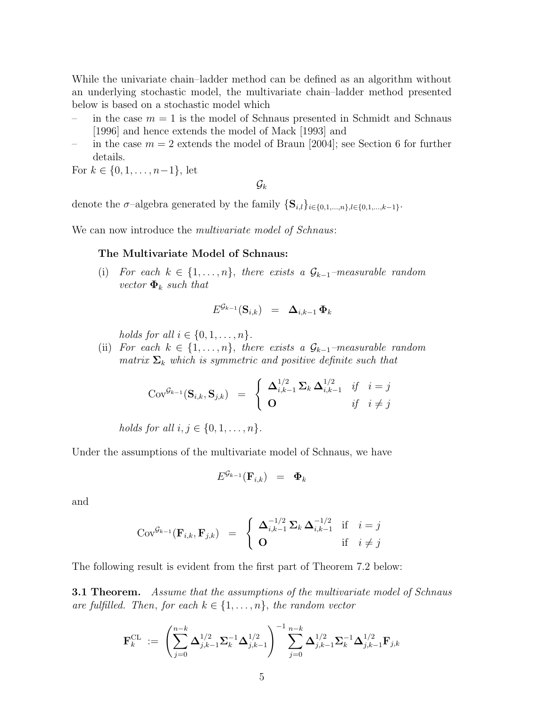While the univariate chain–ladder method can be defined as an algorithm without an underlying stochastic model, the multivariate chain–ladder method presented below is based on a stochastic model which

- in the case  $m = 1$  is the model of Schnaus presented in Schmidt and Schnaus [1996] and hence extends the model of Mack [1993] and
- in the case  $m = 2$  extends the model of Braun [2004]; see Section 6 for further details.

For  $k \in \{0, 1, \ldots, n-1\}$ , let

 $\mathcal{G}_k$ 

denote the  $\sigma$ –algebra generated by the family  $\{S_{i,l}\}_{i\in\{0,1,\ldots,n\},l\in\{0,1,\ldots,k-1\}}$ .

We can now introduce the *multivariate model of Schnaus*:

#### The Multivariate Model of Schnaus:

(i) For each  $k \in \{1, \ldots, n\}$ , there exists a  $\mathcal{G}_{k-1}$ -measurable random vector  $\mathbf{\Phi}_k$  such that

$$
E^{\mathcal{G}_{k-1}}(\mathbf{S}_{i,k})\;\;=\;\;\mathbf{\Delta}_{i,k-1}\,\mathbf{\Phi}_k
$$

holds for all  $i \in \{0, 1, \ldots, n\}$ .

(ii) For each  $k \in \{1, \ldots, n\}$ , there exists a  $\mathcal{G}_{k-1}$ -measurable random matrix  $\Sigma_k$  which is symmetric and positive definite such that

$$
Cov^{\mathcal{G}_{k-1}}(\mathbf{S}_{i,k}, \mathbf{S}_{j,k}) = \begin{cases} \Delta_{i,k-1}^{1/2} \Sigma_k \Delta_{i,k-1}^{1/2} & \text{if } i = j \\ \mathbf{O} & \text{if } i \neq j \end{cases}
$$

holds for all  $i, j \in \{0, 1, \ldots, n\}$ .

Under the assumptions of the multivariate model of Schnaus, we have

$$
E^{\mathcal{G}_{k-1}}(\mathbf{F}_{i,k}) = \Phi_k
$$

and

$$
Cov^{\mathcal{G}_{k-1}}(\mathbf{F}_{i,k},\mathbf{F}_{j,k}) = \begin{cases} \Delta_{i,k-1}^{-1/2} \Sigma_k \Delta_{i,k-1}^{-1/2} & \text{if } i = j \\ \mathbf{O} & \text{if } i \neq j \end{cases}
$$

The following result is evident from the first part of Theorem 7.2 below:

**3.1 Theorem.** Assume that the assumptions of the multivariate model of Schnaus are fulfilled. Then, for each  $k \in \{1, \ldots, n\}$ , the random vector

$$
\mathbf{F}^{\mathrm{CL}}_k \;:=\; \left(\sum_{j=0}^{n-k}\mathbf{\Delta}^{1/2}_{j,k-1}\mathbf{\Sigma}^{-1}_k\mathbf{\Delta}^{1/2}_{j,k-1}\right)^{-1}\sum_{j=0}^{n-k}\mathbf{\Delta}^{1/2}_{j,k-1}\mathbf{\Sigma}^{-1}_k\mathbf{\Delta}^{1/2}_{j,k-1}\mathbf{F}_{j,k}
$$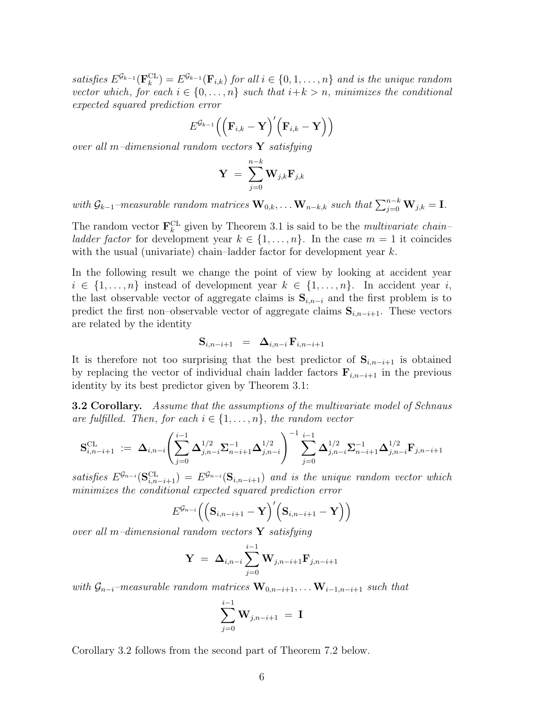satisfies  $E^{\mathcal{G}_{k-1}}(\mathbf{F}_k^{\text{CL}}) = E^{\mathcal{G}_{k-1}}(\mathbf{F}_{i,k})$  for all  $i \in \{0,1,\ldots,n\}$  and is the unique random vector which, for each  $i \in \{0, \ldots, n\}$  such that  $i+k > n$ , minimizes the conditional expected squared prediction error

$$
E^{\mathcal{G}_{k-1}}\Big(\Big(\mathbf{F}_{i,k}-\mathbf{Y}\Big)'\Big(\mathbf{F}_{i,k}-\mathbf{Y}\Big)\Big)
$$

over all m-dimensional random vectors  $\bf{Y}$  satisfying

$$
\mathbf{Y}\ =\ \sum_{j=0}^{n-k}\mathbf{W}_{j,k}\mathbf{F}_{j,k}
$$

with  $\mathcal{G}_{k-1}$ -measurable random matrices  $\mathbf{W}_{0,k}, \ldots \mathbf{W}_{n-k,k}$  such that  $\sum_{j=0}^{n-k} \mathbf{W}_{j,k} = \mathbf{I}$ .

The random vector  $\mathbf{F}_k^{\text{CL}}$  given by Theorem 3.1 is said to be the *multivariate chainladder factor* for development year  $k \in \{1, ..., n\}$ . In the case  $m = 1$  it coincides with the usual (univariate) chain–ladder factor for development year  $k$ .

In the following result we change the point of view by looking at accident year  $i \in \{1, \ldots, n\}$  instead of development year  $k \in \{1, \ldots, n\}$ . In accident year i, the last observable vector of aggregate claims is  $S_{i,n-i}$  and the first problem is to predict the first non–observable vector of aggregate claims  $S_{i,n-i+1}$ . These vectors are related by the identity

$$
\mathbf{S}_{i,n-i+1} = \mathbf{\Delta}_{i,n-i} \, \mathbf{F}_{i,n-i+1}
$$

It is therefore not too surprising that the best predictor of  $S_{i,n-i+1}$  is obtained by replacing the vector of individual chain ladder factors  $\mathbf{F}_{i,n-i+1}$  in the previous identity by its best predictor given by Theorem 3.1:

**3.2 Corollary.** Assume that the assumptions of the multivariate model of Schnaus are fulfilled. Then, for each  $i \in \{1, \ldots, n\}$ , the random vector

$$
\mathbf{S}^{\mathrm{CL}}_{i,n-i+1} \;:=\; \boldsymbol{\Delta}_{i,n-i} \Biggl(\sum_{j=0}^{i-1} {\boldsymbol{\Delta}_{j,n-i}^{1/2} \boldsymbol{\Sigma}_{n-i+1}^{-1} \boldsymbol{\Delta}_{j,n-i}^{1/2}}\Biggr)^{-1} \sum_{j=0}^{i-1} {\boldsymbol{\Delta}_{j,n-i}^{1/2} \boldsymbol{\Sigma}_{n-i+1}^{-1} \boldsymbol{\Delta}_{j,n-i}^{1/2} \mathbf{F}_{j,n-i+1}}
$$

satisfies  $E^{\mathcal{G}_{n-i}}(\mathbf{S}_{i,n-i+1}^{\mathrm{CL}}) = E^{\mathcal{G}_{n-i}}(\mathbf{S}_{i,n-i+1})$  and is the unique random vector which minimizes the conditional expected squared prediction error

$$
E^{\mathcal{G}_{n-i}}\Bigl(\Bigl(\mathbf{S}_{i,n-i+1}-\mathbf{Y}\Bigr)'\Bigl(\mathbf{S}_{i,n-i+1}-\mathbf{Y}\Bigr)\Bigr)
$$

over all m-dimensional random vectors  $\bf{Y}$  satisfying

$$
{\bf Y} \; = \; {\bf \Delta}_{i,n-i} \sum_{j=0}^{i-1} {\bf W}_{j,n-i+1} {\bf F}_{j,n-i+1}
$$

with  $\mathcal{G}_{n-i}$ –measurable random matrices  $\mathbf{W}_{0,n-i+1}, \ldots \mathbf{W}_{i-1,n-i+1}$  such that

$$
\sum_{j=0}^{i-1} \mathbf{W}_{j,n-i+1} ~=~ \mathbf{I}
$$

Corollary 3.2 follows from the second part of Theorem 7.2 below.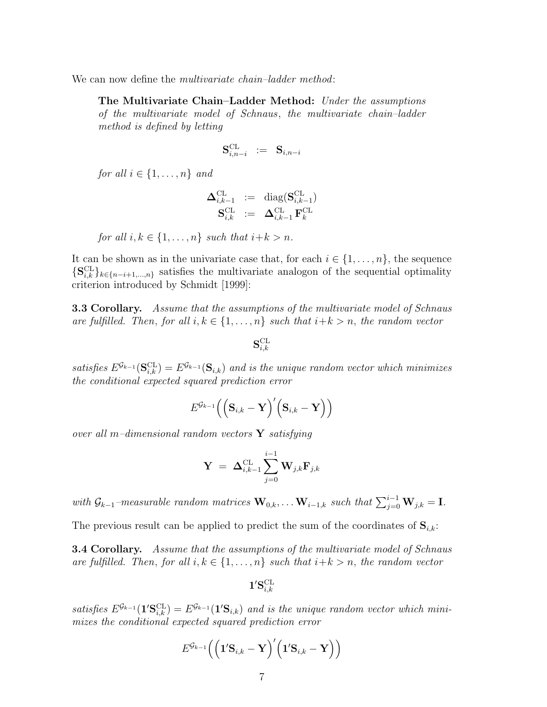We can now define the *multivariate chain-ladder method*:

The Multivariate Chain–Ladder Method: Under the assumptions of the multivariate model of Schnaus, the multivariate chain–ladder method is defined by letting

$$
{\bf S}^{\mathrm{CL}}_{i,n-i} \;\;:=\;\; {\bf S}_{i,n-i}
$$

for all  $i \in \{1, \ldots, n\}$  and

$$
\begin{array}{rcl} \mathbf{\Delta}_{i,k-1}^{\mathrm{CL}} & := & \mathrm{diag}(\mathbf{S}_{i,k-1}^{\mathrm{CL}}) \\ \mathbf{S}_{i,k}^{\mathrm{CL}} & := & \mathbf{\Delta}_{i,k-1}^{\mathrm{CL}} \mathbf{F}_{k}^{\mathrm{CL}} \end{array}
$$

for all  $i, k \in \{1, \ldots, n\}$  such that  $i+k > n$ .

It can be shown as in the univariate case that, for each  $i \in \{1, \ldots, n\}$ , the sequence  $\{S_{i,k}^{\text{CL}}\}_{k\in\{n-i+1,\dots,n\}}$  satisfies the multivariate analogon of the sequential optimality criterion introduced by Schmidt [1999]:

**3.3 Corollary.** Assume that the assumptions of the multivariate model of Schnaus are fulfilled. Then, for all  $i, k \in \{1, \ldots, n\}$  such that  $i+k > n$ , the random vector

$$
\mathbf{S}^{\mathrm{CL}}_{i,k}
$$

satisfies  $E^{G_{k-1}}(\mathbf{S}_{i,k}^{\text{CL}}) = E^{G_{k-1}}(\mathbf{S}_{i,k})$  and is the unique random vector which minimizes the conditional expected squared prediction error

$$
E^{\mathcal{G}_{k-1}}\Big(\Big(\mathbf{S}_{i,k}-\mathbf{Y}\Big)'\Big(\mathbf{S}_{i,k}-\mathbf{Y}\Big)\Big)
$$

over all m-dimensional random vectors  $\bf{Y}$  satisfying

$$
{\bf Y}~=~\mathbf{\Delta}_{i,k-1}^{\text{CL}}\sum_{j=0}^{i-1} {\bf W}_{j,k}{\bf F}_{j,k}
$$

with  $\mathcal{G}_{k-1}$ -measurable random matrices  $\mathbf{W}_{0,k}, \ldots \mathbf{W}_{i-1,k}$  such that  $\sum_{j=0}^{i-1} \mathbf{W}_{j,k} = \mathbf{I}$ .

The previous result can be applied to predict the sum of the coordinates of  $S_{i,k}$ :

**3.4 Corollary.** Assume that the assumptions of the multivariate model of Schnaus are fulfilled. Then, for all  $i, k \in \{1, \ldots, n\}$  such that  $i+k > n$ , the random vector

$$
\mathbf{1}'\mathbf{S}^{\mathrm{CL}}_{i,k}
$$

satisfies  $E^{\mathcal{G}_{k-1}}(\mathbf{1}'\mathbf{S}_{i,k}^{\text{CL}}) = E^{\mathcal{G}_{k-1}}(\mathbf{1}'\mathbf{S}_{i,k})$  and is the unique random vector which minimizes the conditional expected squared prediction error

$$
E^{\mathcal{G}_{k-1}}\Big(\Big(\mathbf{1}^\prime\mathbf{S}_{i,k}-\mathbf{Y}\Big)^\prime\Big(\mathbf{1}^\prime\mathbf{S}_{i,k}-\mathbf{Y}\Big)\Big)
$$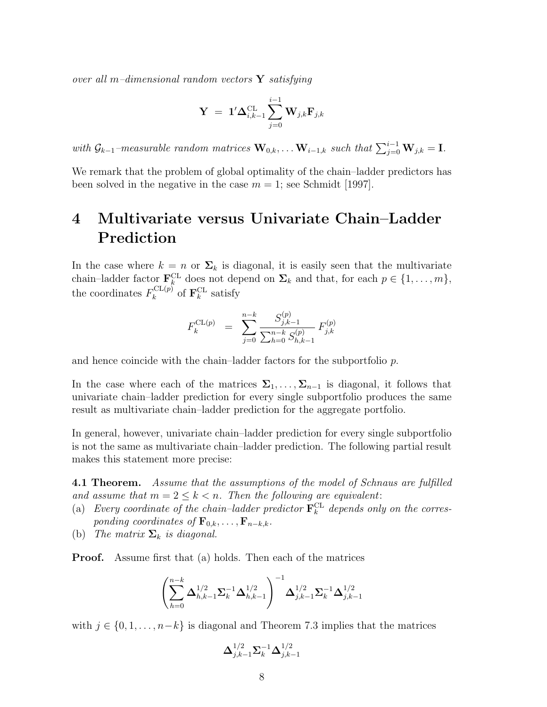over all m-dimensional random vectors  $\bf Y$  satisfying

$$
\mathbf{Y}~=~\mathbf{1}'\mathbf{\Delta}_{i,k-1}^{\text{CL}}\sum_{j=0}^{i-1}\mathbf{W}_{j,k}\mathbf{F}_{j,k}
$$

with  $\mathcal{G}_{k-1}$ -measurable random matrices  $\mathbf{W}_{0,k}, \ldots \mathbf{W}_{i-1,k}$  such that  $\sum_{j=0}^{i-1} \mathbf{W}_{j,k} = \mathbf{I}$ .

We remark that the problem of global optimality of the chain–ladder predictors has been solved in the negative in the case  $m = 1$ ; see Schmidt [1997].

## 4 Multivariate versus Univariate Chain–Ladder Prediction

In the case where  $k = n$  or  $\Sigma_k$  is diagonal, it is easily seen that the multivariate chain–ladder factor  $\mathbf{F}_k^{\text{CL}}$  does not depend on  $\Sigma_k$  and that, for each  $p \in \{1, \ldots, m\}$ , the coordinates  $F_k^{\text{CL}(p)}$  $\mathbf{F}_k^{\mathrm{CL}(p)}$  of  $\mathbf{F}_k^{\mathrm{CL}}$  satisfy

$$
F_k^{\text{CL}(p)} = \sum_{j=0}^{n-k} \frac{S_{j,k-1}^{(p)}}{\sum_{h=0}^{n-k} S_{h,k-1}^{(p)}} F_{j,k}^{(p)}
$$

and hence coincide with the chain–ladder factors for the subportfolio  $p$ .

In the case where each of the matrices  $\Sigma_1, \ldots, \Sigma_{n-1}$  is diagonal, it follows that univariate chain–ladder prediction for every single subportfolio produces the same result as multivariate chain–ladder prediction for the aggregate portfolio.

In general, however, univariate chain–ladder prediction for every single subportfolio is not the same as multivariate chain–ladder prediction. The following partial result makes this statement more precise:

**4.1 Theorem.** Assume that the assumptions of the model of Schnaus are fulfilled and assume that  $m = 2 \leq k < n$ . Then the following are equivalent:

- (a) Every coordinate of the chain-ladder predictor  $\mathbf{F}_k^{\text{CL}}$  depends only on the corresponding coordinates of  $\mathbf{F}_{0,k}, \ldots, \mathbf{F}_{n-k,k}$ .
- (b) The matrix  $\Sigma_k$  is diagonal.

**Proof.** Assume first that (a) holds. Then each of the matrices

$$
\left( \sum_{h=0}^{n-k} \Delta_{h,k-1}^{1/2} \Sigma_k^{-1} \Delta_{h,k-1}^{1/2} \right)^{-1} \Delta_{j,k-1}^{1/2} \Sigma_k^{-1} \Delta_{j,k-1}^{1/2}
$$

with  $j \in \{0, 1, \ldots, n-k\}$  is diagonal and Theorem 7.3 implies that the matrices

$$
\boldsymbol{\Delta}_{j,k-1}^{1/2}\boldsymbol{\Sigma}_k^{-1}\boldsymbol{\Delta}_{j,k-1}^{1/2}
$$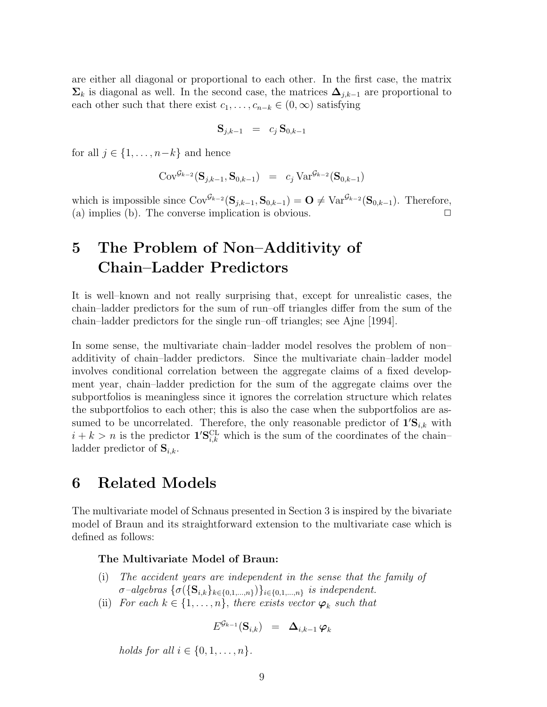are either all diagonal or proportional to each other. In the first case, the matrix  $\Sigma_k$  is diagonal as well. In the second case, the matrices  $\Delta_{j,k-1}$  are proportional to each other such that there exist  $c_1, \ldots, c_{n-k} \in (0, \infty)$  satisfying

$$
{\bf S}_{j,k-1} \;\; = \;\; c_j \, {\bf S}_{0,k-1}
$$

for all  $j \in \{1, \ldots, n-k\}$  and hence

$$
Cov^{\mathcal{G}_{k-2}}(\mathbf{S}_{j,k-1},\mathbf{S}_{0,k-1}) = c_j \operatorname{Var}^{\mathcal{G}_{k-2}}(\mathbf{S}_{0,k-1})
$$

which is impossible since  $Cov^{\mathcal{G}_{k-2}}(\mathbf{S}_{j,k-1}, \mathbf{S}_{0,k-1}) = \mathbf{O} \neq \text{Var}^{\mathcal{G}_{k-2}}(\mathbf{S}_{0,k-1})$ . Therefore, (a) implies (b). The converse implication is obvious.  $\Box$ 

## 5 The Problem of Non–Additivity of Chain–Ladder Predictors

It is well–known and not really surprising that, except for unrealistic cases, the chain–ladder predictors for the sum of run–off triangles differ from the sum of the chain–ladder predictors for the single run–off triangles; see Ajne [1994].

In some sense, the multivariate chain–ladder model resolves the problem of non– additivity of chain–ladder predictors. Since the multivariate chain–ladder model involves conditional correlation between the aggregate claims of a fixed development year, chain–ladder prediction for the sum of the aggregate claims over the subportfolios is meaningless since it ignores the correlation structure which relates the subportfolios to each other; this is also the case when the subportfolios are assumed to be uncorrelated. Therefore, the only reasonable predictor of  $\mathbf{1}'\mathbf{S}_{i,k}$  with  $i + k > n$  is the predictor  $\mathbf{1}'\mathbf{S}_{i,k}^{\text{CL}}$  which is the sum of the coordinates of the chainladder predictor of  $S_{i,k}$ .

### 6 Related Models

The multivariate model of Schnaus presented in Section 3 is inspired by the bivariate model of Braun and its straightforward extension to the multivariate case which is defined as follows:

#### The Multivariate Model of Braun:

- (i) The accident years are independent in the sense that the family of  $\sigma$ -algebras  $\{\sigma(\{\mathbf{S}_{i,k}\}_{k\in\{0,1,\ldots,n\}})\}_{i\in\{0,1,\ldots,n\}}$  is independent.
- (ii) For each  $k \in \{1, \ldots, n\}$ , there exists vector  $\varphi_k$  such that

$$
E^{\mathcal{G}_{k-1}}(\mathbf{S}_{i,k})\;\;=\;\;\mathbf{\Delta}_{i,k-1}\,\bm{\varphi}_k
$$

holds for all  $i \in \{0, 1, \ldots, n\}$ .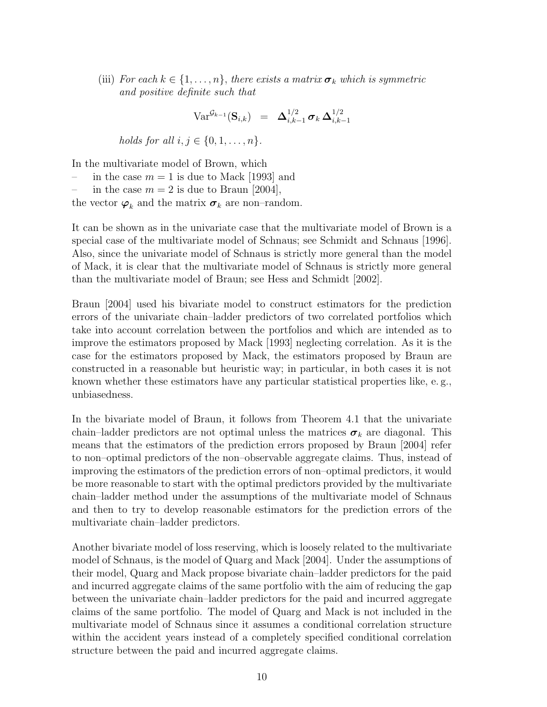(iii) For each  $k \in \{1, \ldots, n\}$ , there exists a matrix  $\sigma_k$  which is symmetric and positive definite such that

$$
\text{Var}^{\mathcal{G}_{k-1}}(\mathbf{S}_{i,k}) = \mathbf{\Delta}_{i,k-1}^{1/2} \boldsymbol{\sigma}_k \mathbf{\Delta}_{i,k-1}^{1/2}
$$

holds for all  $i, j \in \{0, 1, \ldots, n\}$ .

In the multivariate model of Brown, which

- in the case  $m = 1$  is due to Mack [1993] and
- in the case  $m = 2$  is due to Braun [2004],

the vector  $\varphi_k$  and the matrix  $\sigma_k$  are non-random.

It can be shown as in the univariate case that the multivariate model of Brown is a special case of the multivariate model of Schnaus; see Schmidt and Schnaus [1996]. Also, since the univariate model of Schnaus is strictly more general than the model of Mack, it is clear that the multivariate model of Schnaus is strictly more general than the multivariate model of Braun; see Hess and Schmidt [2002].

Braun [2004] used his bivariate model to construct estimators for the prediction errors of the univariate chain–ladder predictors of two correlated portfolios which take into account correlation between the portfolios and which are intended as to improve the estimators proposed by Mack [1993] neglecting correlation. As it is the case for the estimators proposed by Mack, the estimators proposed by Braun are constructed in a reasonable but heuristic way; in particular, in both cases it is not known whether these estimators have any particular statistical properties like, e. g., unbiasedness.

In the bivariate model of Braun, it follows from Theorem 4.1 that the univariate chain–ladder predictors are not optimal unless the matrices  $\sigma_k$  are diagonal. This means that the estimators of the prediction errors proposed by Braun [2004] refer to non–optimal predictors of the non–observable aggregate claims. Thus, instead of improving the estimators of the prediction errors of non–optimal predictors, it would be more reasonable to start with the optimal predictors provided by the multivariate chain–ladder method under the assumptions of the multivariate model of Schnaus and then to try to develop reasonable estimators for the prediction errors of the multivariate chain–ladder predictors.

Another bivariate model of loss reserving, which is loosely related to the multivariate model of Schnaus, is the model of Quarg and Mack [2004]. Under the assumptions of their model, Quarg and Mack propose bivariate chain–ladder predictors for the paid and incurred aggregate claims of the same portfolio with the aim of reducing the gap between the univariate chain–ladder predictors for the paid and incurred aggregate claims of the same portfolio. The model of Quarg and Mack is not included in the multivariate model of Schnaus since it assumes a conditional correlation structure within the accident years instead of a completely specified conditional correlation structure between the paid and incurred aggregate claims.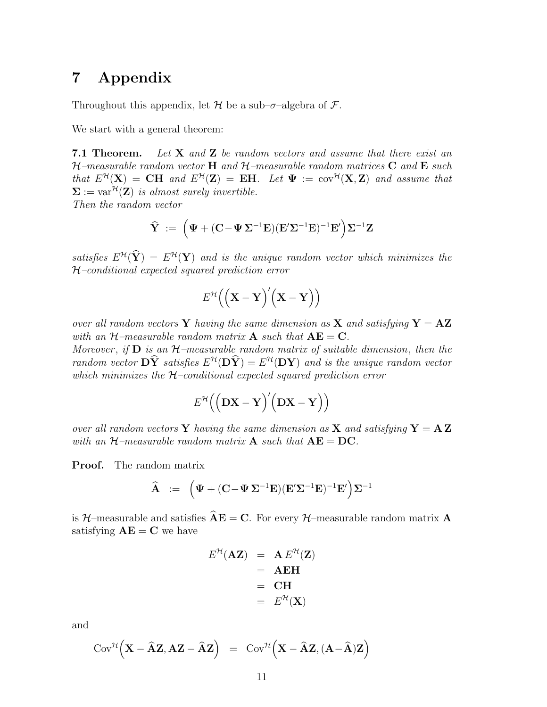## 7 Appendix

Throughout this appendix, let H be a sub– $\sigma$ –algebra of F.

We start with a general theorem:

**7.1 Theorem.** Let **X** and **Z** be random vectors and assume that there exist an  $H$ –measurable random vector **H** and  $H$ –measurable random matrices **C** and **E** such that  $E^{\mathcal{H}}(\mathbf{X}) = \mathbf{C}\mathbf{H}$  and  $E^{\mathcal{H}}(\mathbf{Z}) = \mathbf{E}\mathbf{H}$ . Let  $\Psi := \text{cov}^{\mathcal{H}}(\mathbf{X}, \mathbf{Z})$  and assume that  $\Sigma := \text{var}^{\mathcal{H}}(\mathbf{Z})$  is almost surely invertible. Then the random vector

$$
\widehat{\mathbf{Y}} \ := \ \left(\mathbf{\Psi} + (\mathbf{C} - \mathbf{\Psi} \, \mathbf{\Sigma}^{-1} \mathbf{E}) (\mathbf{E}' \mathbf{\Sigma}^{-1} \mathbf{E})^{-1} \mathbf{E}' \right) \mathbf{\Sigma}^{-1} \mathbf{Z}
$$

satisfies  $E^{\mathcal{H}}(\widehat{\mathbf{Y}}) = E^{\mathcal{H}}(\mathbf{Y})$  and is the unique random vector which minimizes the H–conditional expected squared prediction error

$$
E^{\mathcal{H}}\Big(\Big(\mathbf{X}-\mathbf{Y}\Big)'\Big(\mathbf{X}-\mathbf{Y}\Big)\Big)
$$

over all random vectors Y having the same dimension as X and satisfying  $Y = AZ$ with an  $\mathcal{H}$ -measurable random matrix **A** such that  $AE = C$ . Moreover, if  $\mathbf D$  is an  $\mathcal H$ -measurable random matrix of suitable dimension, then the random vector  $\mathbf{D}\hat{\mathbf{Y}}$  satisfies  $E^{\mathcal{H}}(\mathbf{D}\hat{\mathbf{Y}}) = E^{\mathcal{H}}(\mathbf{D}\mathbf{Y})$  and is the unique random vector which minimizes the  $H$ -conditional expected squared prediction error

$$
E^{\mathcal{H}}\Big(\Big(\mathbf{D}\mathbf{X}-\mathbf{Y}\Big)'\Big(\mathbf{D}\mathbf{X}-\mathbf{Y}\Big)\Big)
$$

over all random vectors Y having the same dimension as X and satisfying  $Y = AZ$ with an  $H$ -measurable random matrix **A** such that  $AE = DC$ .

Proof. The random matrix

$$
\widehat{\mathbf{A}} \ := \ \left( \mathbf{\Psi} + (\mathbf{C} - \mathbf{\Psi} \, \mathbf{\Sigma}^{-1} \mathbf{E}) (\mathbf{E}' \mathbf{\Sigma}^{-1} \mathbf{E})^{-1} \mathbf{E}' \right) \mathbf{\Sigma}^{-1}
$$

is  $H$ –measurable and satisfies  $\widehat{A}E = C$ . For every  $H$ –measurable random matrix A satisfying  $AE = C$  we have

$$
E^{\mathcal{H}}(\mathbf{AZ}) = \mathbf{A} E^{\mathcal{H}}(\mathbf{Z})
$$
  
= **AEH**  
= **CH**  
= 
$$
E^{\mathcal{H}}(\mathbf{X})
$$

and

$$
Cov^{\mathcal{H}}\left(\mathbf{X}-\widehat{\mathbf{A}}\mathbf{Z}, \mathbf{A}\mathbf{Z}-\widehat{\mathbf{A}}\mathbf{Z}\right) = Cov^{\mathcal{H}}\left(\mathbf{X}-\widehat{\mathbf{A}}\mathbf{Z}, (\mathbf{A}-\widehat{\mathbf{A}})\mathbf{Z}\right)
$$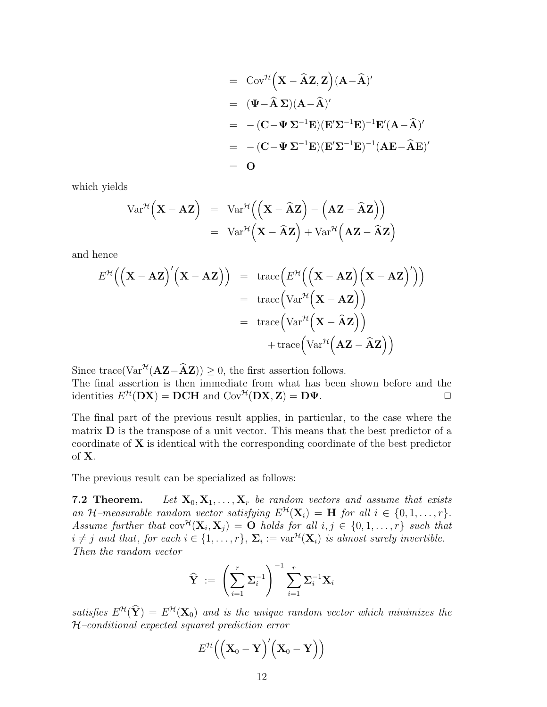$$
= \operatorname{Cov}^{\mathcal{H}} \left( \mathbf{X} - \hat{\mathbf{A}} \mathbf{Z}, \mathbf{Z} \right) (\mathbf{A} - \hat{\mathbf{A}})^{\prime}
$$
  
\n
$$
= (\mathbf{\Psi} - \hat{\mathbf{A}} \mathbf{\Sigma}) (\mathbf{A} - \hat{\mathbf{A}})^{\prime}
$$
  
\n
$$
= -(\mathbf{C} - \mathbf{\Psi} \mathbf{\Sigma}^{-1} \mathbf{E}) (\mathbf{E}^{\prime} \mathbf{\Sigma}^{-1} \mathbf{E})^{-1} \mathbf{E}^{\prime} (\mathbf{A} - \hat{\mathbf{A}})^{\prime}
$$
  
\n
$$
= -(\mathbf{C} - \mathbf{\Psi} \mathbf{\Sigma}^{-1} \mathbf{E}) (\mathbf{E}^{\prime} \mathbf{\Sigma}^{-1} \mathbf{E})^{-1} (\mathbf{A} \mathbf{E} - \hat{\mathbf{A}} \mathbf{E})^{\prime}
$$
  
\n
$$
= \mathbf{O}
$$

which yields

$$
\operatorname{Var}^{\mathcal{H}}\left(\mathbf{X}-\mathbf{A}\mathbf{Z}\right) = \operatorname{Var}^{\mathcal{H}}\left(\left(\mathbf{X}-\widehat{\mathbf{A}}\mathbf{Z}\right)-\left(\mathbf{A}\mathbf{Z}-\widehat{\mathbf{A}}\mathbf{Z}\right)\right)
$$

$$
= \operatorname{Var}^{\mathcal{H}}\left(\mathbf{X}-\widehat{\mathbf{A}}\mathbf{Z}\right) + \operatorname{Var}^{\mathcal{H}}\left(\mathbf{A}\mathbf{Z}-\widehat{\mathbf{A}}\mathbf{Z}\right)
$$

and hence

$$
E^{\mathcal{H}}((\mathbf{X}-\mathbf{A}\mathbf{Z})'(\mathbf{X}-\mathbf{A}\mathbf{Z})) = \text{trace}\Big(E^{\mathcal{H}}((\mathbf{X}-\mathbf{A}\mathbf{Z})(\mathbf{X}-\mathbf{A}\mathbf{Z})')\Big) = \text{trace}\Big(\text{Var}^{\mathcal{H}}(\mathbf{X}-\mathbf{A}\mathbf{Z})\Big) = \text{trace}\Big(\text{Var}^{\mathcal{H}}(\mathbf{X}-\mathbf{\hat{A}}\mathbf{Z})\Big) + \text{trace}\Big(\text{Var}^{\mathcal{H}}(\mathbf{A}\mathbf{Z}-\mathbf{\hat{A}}\mathbf{Z})\Big)
$$

Since trace(Var<sup> $\mathcal{H}(\mathbf{AZ}-\hat{\mathbf{A}}\mathbf{Z})$ ) > 0, the first assertion follows.</sup> The final assertion is then immediate from what has been shown before and the identities  $E^{\mathcal{H}}(\mathbf{D}X) = \mathbf{DCH}$  and  $Cov^{\mathcal{H}}(\mathbf{D}X, Z) = \mathbf{D}\Psi$ .

The final part of the previous result applies, in particular, to the case where the matrix  **is the transpose of a unit vector. This means that the best predictor of a** coordinate of X is identical with the corresponding coordinate of the best predictor of X.

The previous result can be specialized as follows:

**7.2 Theorem.** Let  $X_0, X_1, \ldots, X_r$  be random vectors and assume that exists an H-measurable random vector satisfying  $E^{\mathcal{H}}(\mathbf{X}_i) = \mathbf{H}$  for all  $i \in \{0, 1, ..., r\}$ . Assume further that  $cov^{\mathcal{H}}(\mathbf{X}_i, \mathbf{X}_j) = \mathbf{O}$  holds for all  $i, j \in \{0, 1, ..., r\}$  such that  $i \neq j$  and that, for each  $i \in \{1, \ldots, r\}$ ,  $\Sigma_i := \text{var}^{\mathcal{H}}(\mathbf{X}_i)$  is almost surely invertible. Then the random vector

$$
\widehat{\mathbf{Y}} \ := \ \left(\sum_{i=1}^r \mathbf{\Sigma}_i^{-1}\right)^{-1} \sum_{i=1}^r \mathbf{\Sigma}_i^{-1} \mathbf{X}_i
$$

satisfies  $E^{\mathcal{H}}(\hat{\mathbf{Y}}) = E^{\mathcal{H}}(\mathbf{X}_0)$  and is the unique random vector which minimizes the H–conditional expected squared prediction error

$$
E^{\mathcal{H}}\Big(\Big(\mathbf{X}_{0}-\mathbf{Y}\Big)'\Big(\mathbf{X}_{0}-\mathbf{Y}\Big)\Big)
$$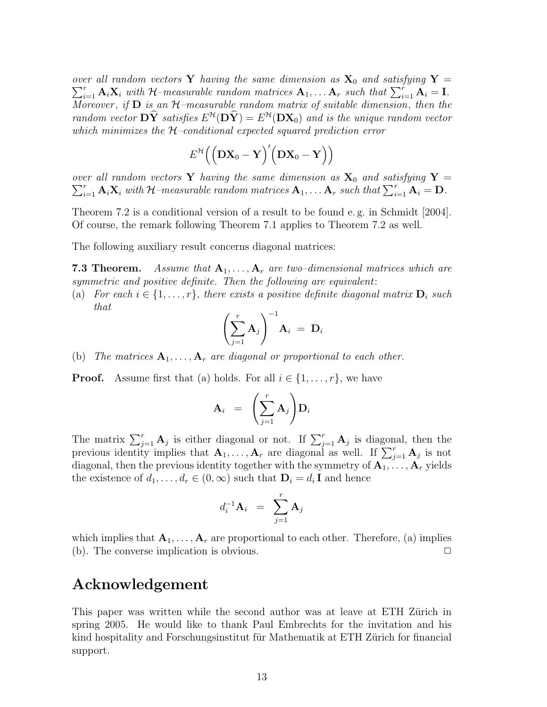over all random vectors Y having the same dimension as  $X_0$  and satisfying  $Y = \sum_{i=1}^{r} X_i$ For an random vectors **1** naving the same aimension as  $\mathbf{A}_0$  and satisfying  $\mathbf{Y} = \sum_{i=1}^r \mathbf{A}_i \mathbf{X}_i$  with H-measurable random matrices  $\mathbf{A}_1, \ldots \mathbf{A}_r$  such that  $\sum_{i=1}^r \mathbf{A}_i = \mathbf{I}$ . Moreover, if  $D$  is an  $H$ -measurable random matrix of suitable dimension, then the random vector  $\mathbf{D}\hat{\mathbf{Y}}$  satisfies  $E^{\mathcal{H}}(\mathbf{D}\hat{\mathbf{Y}}) = E^{\mathcal{H}}(\mathbf{D}\mathbf{X}_{0})$  and is the unique random vector which minimizes the  $H$ -conditional expected squared prediction error

$$
E^{\mathcal{H}}\Big(\Big(\mathbf{DX}_{0}-\mathbf{Y}\Big)'\Big(\mathbf{DX}_{0}-\mathbf{Y}\Big)\Big)
$$

over all random vectors Y having the same dimension as  $X_0$  and satisfying  $Y = \sum_{i=1}^{r} X_i$ or an random vectors **1** naving the same aimension as  $\mathbf{A}_0$  and satisfying **1** =  $\sum_{i=1}^r \mathbf{A}_i \mathbf{X}_i$  with H-measurable random matrices  $\mathbf{A}_1, \ldots \mathbf{A}_r$  such that  $\sum_{i=1}^r \mathbf{A}_i = \mathbf{D}$ .

Theorem 7.2 is a conditional version of a result to be found e. g. in Schmidt [2004]. Of course, the remark following Theorem 7.1 applies to Theorem 7.2 as well.

The following auxiliary result concerns diagonal matrices:

**7.3 Theorem.** Assume that  $A_1, \ldots, A_r$  are two-dimensional matrices which are symmetric and positive definite. Then the following are equivalent:

(a) For each  $i \in \{1, \ldots, r\}$ , there exists a positive definite diagonal matrix  $D_i$  such that  $\sqrt{-1}$ 

$$
\left(\sum_{j=1}^r {\bf A}_j\right)^{-1}{\bf A}_i ~=~ {\bf D}_i
$$

(b) The matrices  $A_1, \ldots, A_r$  are diagonal or proportional to each other.

**Proof.** Assume first that (a) holds. For all  $i \in \{1, \ldots, r\}$ , we have

$$
\mathbf{A}_i = \left(\sum_{j=1}^r \mathbf{A}_j\right) \mathbf{D}_i
$$

The matrix  $\sum_{j=1}^r \mathbf{A}_j$  is either diagonal or not. If  $\sum_{j=1}^r \mathbf{A}_j$  is diagonal, then the The matrix  $\sum_{j=1}^K A_j$  is entired that  $A_1, \ldots, A_r$  are diagonal as well. If  $\sum_{j=1}^r A_j$  is not previous identity implies that  $A_1, \ldots, A_r$  are diagonal as well. If  $\sum_{j=1}^r A_j$  is not diagonal, then the previous identity together with the symmetry of  $A_1, \ldots, A_r$  yields the existence of  $d_1, \ldots, d_r \in (0, \infty)$  such that  $\mathbf{D}_i = d_i \mathbf{I}$  and hence

$$
d_i^{-1} \mathbf{A}_i = \sum_{j=1}^r \mathbf{A}_j
$$

which implies that  $A_1, \ldots, A_r$  are proportional to each other. Therefore, (a) implies (b). The converse implication is obvious.  $\Box$ 

### Acknowledgement

This paper was written while the second author was at leave at ETH Zürich in spring 2005. He would like to thank Paul Embrechts for the invitation and his kind hospitality and Forschungsinstitut für Mathematik at ETH Zürich for financial support.